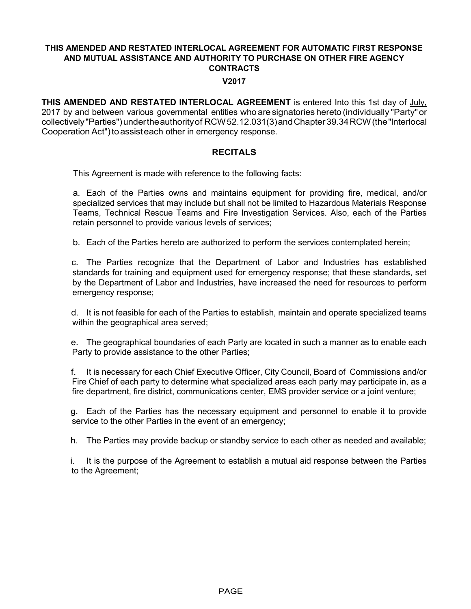#### V2017

THIS AMENDED AND RESTATED INTERLOCAL AGREEMENT is entered Into this 1st day of July, 2017 by and between various governmental entities who are signatories hereto (individually "Party" or collectively "Parties") under the authority of RCW 52.12.031(3) and Chapter 39.34 RCW (the "lnterlocal Cooperation Act") to assist each other in emergency response.

## **RECITALS**

This Agreement is made with reference to the following facts:

a. Each of the Parties owns and maintains equipment for providing fire, medical, and/or specialized services that may include but shall not be limited to Hazardous Materials Response Teams, Technical Rescue Teams and Fire Investigation Services. Also, each of the Parties retain personnel to provide various levels of services;

b. Each of the Parties hereto are authorized to perform the services contemplated herein;

c. The Parties recognize that the Department of Labor and Industries has established standards for training and equipment used for emergency response; that these standards, set by the Department of Labor and Industries, have increased the need for resources to perform emergency response;

d. It is not feasible for each of the Parties to establish, maintain and operate specialized teams within the geographical area served;

e. The geographical boundaries of each Party are located in such a manner as to enable each Party to provide assistance to the other Parties;

f. It is necessary for each Chief Executive Officer, City Council, Board of Commissions and/or Fire Chief of each party to determine what specialized areas each party may participate in, as a fire department, fire district, communications center, EMS provider service or a joint venture;

g. Each of the Parties has the necessary equipment and personnel to enable it to provide service to the other Parties in the event of an emergency;

h. The Parties may provide backup or standby service to each other as needed and available;

i. It is the purpose of the Agreement to establish a mutual aid response between the Parties to the Agreement;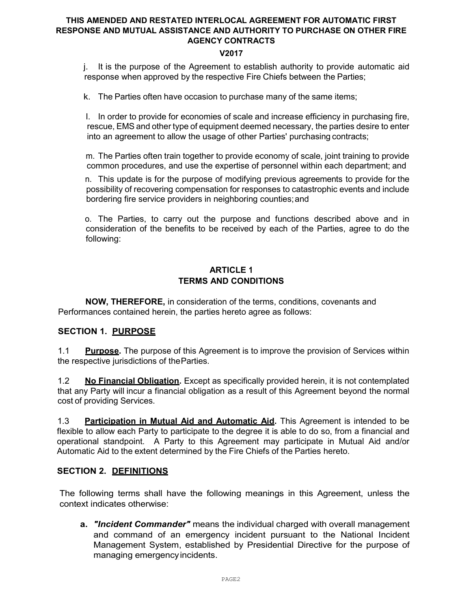## V2017

j. It is the purpose of the Agreement to establish authority to provide automatic aid response when approved by the respective Fire Chiefs between the Parties;

k. The Parties often have occasion to purchase many of the same items;

I. In order to provide for economies of scale and increase efficiency in purchasing fire, rescue, EMS and other type of equipment deemed necessary, the parties desire to enter into an agreement to allow the usage of other Parties' purchasing contracts;

m. The Parties often train together to provide economy of scale, joint training to provide common procedures, and use the expertise of personnel within each department; and

n. This update is for the purpose of modifying previous agreements to provide for the possibility of recovering compensation for responses to catastrophic events and include bordering fire service providers in neighboring counties; and

o. The Parties, to carry out the purpose and functions described above and in consideration of the benefits to be received by each of the Parties, agree to do the following:

## ARTICLE 1 TERMS AND CONDITIONS

NOW, THEREFORE, in consideration of the terms, conditions, covenants and Performances contained herein, the parties hereto agree as follows:

## SECTION 1. PURPOSE

1.1 Purpose. The purpose of this Agreement is to improve the provision of Services within the respective jurisdictions of the Parties.

1.2 **No Financial Obligation.** Except as specifically provided herein, it is not contemplated that any Party will incur a financial obligation as a result of this Agreement beyond the normal cost of providing Services.

1.3 **Participation in Mutual Aid and Automatic Aid.** This Agreement is intended to be flexible to allow each Party to participate to the degree it is able to do so, from a financial and operational standpoint. A Party to this Agreement may participate in Mutual Aid and/or Automatic Aid to the extent determined by the Fire Chiefs of the Parties hereto.

## SECTION 2. DEFINITIONS

The following terms shall have the following meanings in this Agreement, unless the context indicates otherwise:

a. "Incident Commander" means the individual charged with overall management and command of an emergency incident pursuant to the National Incident Management System, established by Presidential Directive for the purpose of managing emergency incidents.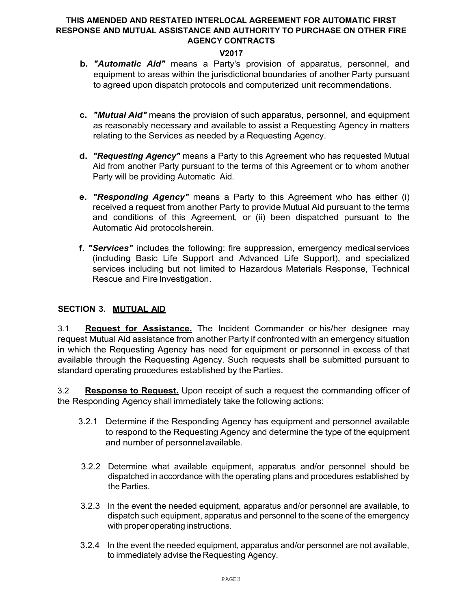## V2017

- b. "Automatic Aid" means a Party's provision of apparatus, personnel, and equipment to areas within the jurisdictional boundaries of another Party pursuant to agreed upon dispatch protocols and computerized unit recommendations.
- c. "Mutual Aid" means the provision of such apparatus, personnel, and equipment as reasonably necessary and available to assist a Requesting Agency in matters relating to the Services as needed by a Requesting Agency.
- d. "Requesting Agency" means a Party to this Agreement who has requested Mutual Aid from another Party pursuant to the terms of this Agreement or to whom another Party will be providing Automatic Aid.
- e. "Responding Agency" means a Party to this Agreement who has either (i) received a request from another Party to provide Mutual Aid pursuant to the terms and conditions of this Agreement, or (ii) been dispatched pursuant to the Automatic Aid protocols herein.
- f. "Services" includes the following: fire suppression, emergency medical services (including Basic Life Support and Advanced Life Support), and specialized services including but not limited to Hazardous Materials Response, Technical Rescue and Fire Investigation.

## SECTION 3. MUTUAL AID

3.1 **Request for Assistance.** The Incident Commander or his/her designee may request Mutual Aid assistance from another Party if confronted with an emergency situation in which the Requesting Agency has need for equipment or personnel in excess of that available through the Requesting Agency. Such requests shall be submitted pursuant to standard operating procedures established by the Parties.

3.2 Response to Request. Upon receipt of such a request the commanding officer of the Responding Agency shall immediately take the following actions:

- 3.2.1 Determine if the Responding Agency has equipment and personnel available to respond to the Requesting Agency and determine the type of the equipment and number of personnel available.
- 3.2.2 Determine what available equipment, apparatus and/or personnel should be dispatched in accordance with the operating plans and procedures established by the Parties.
- 3.2.3 In the event the needed equipment, apparatus and/or personnel are available, to dispatch such equipment, apparatus and personnel to the scene of the emergency with proper operating instructions.
- 3.2.4 In the event the needed equipment, apparatus and/or personnel are not available, to immediately advise the Requesting Agency.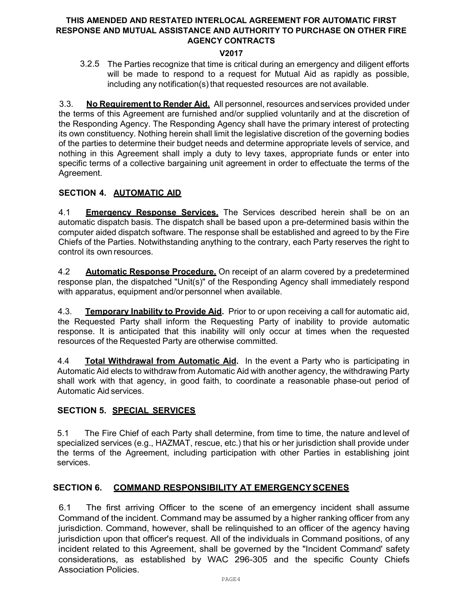## V2017

3.2.5 The Parties recognize that time is critical during an emergency and diligent efforts will be made to respond to a request for Mutual Aid as rapidly as possible, including any notification(s) that requested resources are not available.

3.3. No Requirement to Render Aid. All personnel, resources and services provided under the terms of this Agreement are furnished and/or supplied voluntarily and at the discretion of the Responding Agency. The Responding Agency shall have the primary interest of protecting its own constituency. Nothing herein shall limit the legislative discretion of the governing bodies of the parties to determine their budget needs and determine appropriate levels of service, and nothing in this Agreement shall imply a duty to levy taxes, appropriate funds or enter into specific terms of a collective bargaining unit agreement in order to effectuate the terms of the Agreement.

## SECTION 4. AUTOMATIC AID

4.1 **Emergency Response Services.** The Services described herein shall be on an automatic dispatch basis. The dispatch shall be based upon a pre-determined basis within the computer aided dispatch software. The response shall be established and agreed to by the Fire Chiefs of the Parties. Notwithstanding anything to the contrary, each Party reserves the right to control its own resources.

4.2 **Automatic Response Procedure.** On receipt of an alarm covered by a predetermined response plan, the dispatched "Unit(s)" of the Responding Agency shall immediately respond with apparatus, equipment and/or personnel when available.

4.3. **Temporary Inability to Provide Aid.** Prior to or upon receiving a call for automatic aid, the Requested Party shall inform the Requesting Party of inability to provide automatic response. It is anticipated that this inability will only occur at times when the requested resources of the Requested Party are otherwise committed.

4.4 **Total Withdrawal from Automatic Aid.** In the event a Party who is participating in Automatic Aid elects to withdraw from Automatic Aid with another agency, the withdrawing Party shall work with that agency, in good faith, to coordinate a reasonable phase-out period of Automatic Aid services.

## SECTION 5. SPECIAL SERVICES

5.1 The Fire Chief of each Party shall determine, from time to time, the nature and level of specialized services (e.g., HAZMAT, rescue, etc.) that his or her jurisdiction shall provide under the terms of the Agreement, including participation with other Parties in establishing joint services.

## SECTION 6. COMMAND RESPONSIBILITY AT EMERGENCY SCENES

6.1 The first arriving Officer to the scene of an emergency incident shall assume Command of the incident. Command may be assumed by a higher ranking officer from any jurisdiction. Command, however, shall be relinquished to an officer of the agency having jurisdiction upon that officer's request. All of the individuals in Command positions, of any incident related to this Agreement, shall be governed by the "Incident Command' safety considerations, as established by WAC 296-305 and the specific County Chiefs Association Policies.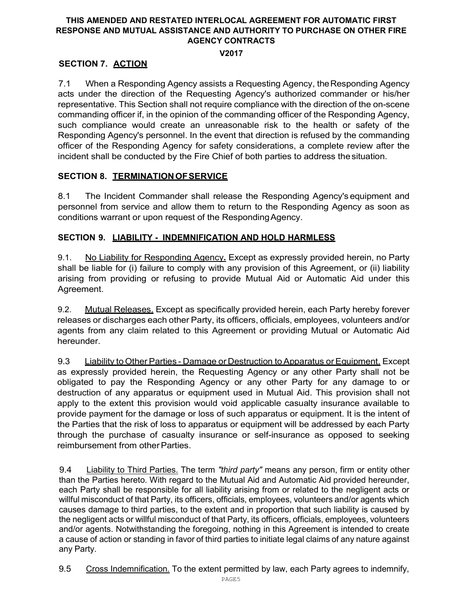## V2017

# SECTION 7. ACTION

7.1 When a Responding Agency assists a Requesting Agency, the Responding Agency acts under the direction of the Requesting Agency's authorized commander or his/her representative. This Section shall not require compliance with the direction of the on-scene commanding officer if, in the opinion of the commanding officer of the Responding Agency, such compliance would create an unreasonable risk to the health or safety of the Responding Agency's personnel. In the event that direction is refused by the commanding officer of the Responding Agency for safety considerations, a complete review after the incident shall be conducted by the Fire Chief of both parties to address the situation.

# SECTION 8. TERMINATION OF SERVICE

8.1 The Incident Commander shall release the Responding Agency's equipment and personnel from service and allow them to return to the Responding Agency as soon as conditions warrant or upon request of the Responding Agency.

# SECTION 9. LIABILITY - INDEMNIFICATION AND HOLD HARMLESS

9.1. No Liability for Responding Agency. Except as expressly provided herein, no Party shall be liable for (i) failure to comply with any provision of this Agreement, or (ii) liability arising from providing or refusing to provide Mutual Aid or Automatic Aid under this Agreement.

9.2. Mutual Releases. Except as specifically provided herein, each Party hereby forever releases or discharges each other Party, its officers, officials, employees, volunteers and/or agents from any claim related to this Agreement or providing Mutual or Automatic Aid hereunder.

9.3 Liability to Other Parties - Damage or Destruction to Apparatus or Equipment. Except as expressly provided herein, the Requesting Agency or any other Party shall not be obligated to pay the Responding Agency or any other Party for any damage to or destruction of any apparatus or equipment used in Mutual Aid. This provision shall not apply to the extent this provision would void applicable casualty insurance available to provide payment for the damage or loss of such apparatus or equipment. It is the intent of the Parties that the risk of loss to apparatus or equipment will be addressed by each Party through the purchase of casualty insurance or self-insurance as opposed to seeking reimbursement from other Parties.

9.4 Liability to Third Parties. The term "third party" means any person, firm or entity other than the Parties hereto. With regard to the Mutual Aid and Automatic Aid provided hereunder, each Party shall be responsible for all liability arising from or related to the negligent acts or willful misconduct of that Party, its officers, officials, employees, volunteers and/or agents which causes damage to third parties, to the extent and in proportion that such liability is caused by the negligent acts or willful misconduct of that Party, its officers, officials, employees, volunteers and/or agents. Notwithstanding the foregoing, nothing in this Agreement is intended to create a cause of action or standing in favor of third parties to initiate legal claims of any nature against any Party.

9.5 Cross Indemnification. To the extent permitted by law, each Party agrees to indemnify,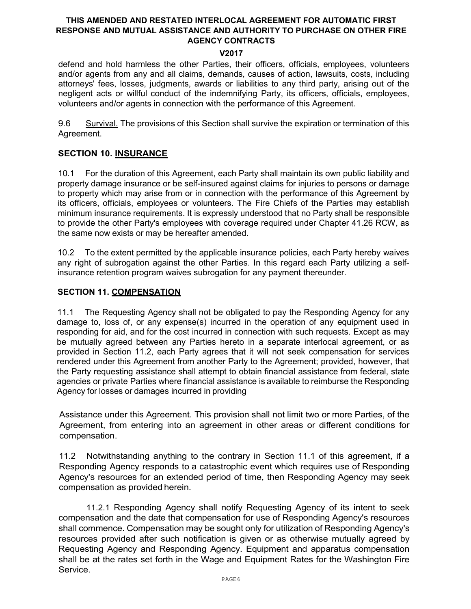#### V2017

defend and hold harmless the other Parties, their officers, officials, employees, volunteers and/or agents from any and all claims, demands, causes of action, lawsuits, costs, including attorneys' fees, losses, judgments, awards or liabilities to any third party, arising out of the negligent acts or willful conduct of the indemnifying Party, its officers, officials, employees, volunteers and/or agents in connection with the performance of this Agreement.

9.6 Survival. The provisions of this Section shall survive the expiration or termination of this Agreement.

## SECTION 10. INSURANCE

10.1 For the duration of this Agreement, each Party shall maintain its own public liability and property damage insurance or be self-insured against claims for injuries to persons or damage to property which may arise from or in connection with the performance of this Agreement by its officers, officials, employees or volunteers. The Fire Chiefs of the Parties may establish minimum insurance requirements. It is expressly understood that no Party shall be responsible to provide the other Party's employees with coverage required under Chapter 41.26 RCW, as the same now exists or may be hereafter amended.

10.2 To the extent permitted by the applicable insurance policies, each Party hereby waives any right of subrogation against the other Parties. In this regard each Party utilizing a selfinsurance retention program waives subrogation for any payment thereunder.

## SECTION 11. COMPENSATION

11.1 The Requesting Agency shall not be obligated to pay the Responding Agency for any damage to, loss of, or any expense(s) incurred in the operation of any equipment used in responding for aid, and for the cost incurred in connection with such requests. Except as may be mutually agreed between any Parties hereto in a separate interlocal agreement, or as provided in Section 11.2, each Party agrees that it will not seek compensation for services rendered under this Agreement from another Party to the Agreement; provided, however, that the Party requesting assistance shall attempt to obtain financial assistance from federal, state agencies or private Parties where financial assistance is available to reimburse the Responding Agency for losses or damages incurred in providing

Assistance under this Agreement. This provision shall not limit two or more Parties, of the Agreement, from entering into an agreement in other areas or different conditions for compensation.

11.2 Notwithstanding anything to the contrary in Section 11.1 of this agreement, if a Responding Agency responds to a catastrophic event which requires use of Responding Agency's resources for an extended period of time, then Responding Agency may seek compensation as provided herein.

11.2.1 Responding Agency shall notify Requesting Agency of its intent to seek compensation and the date that compensation for use of Responding Agency's resources shall commence. Compensation may be sought only for utilization of Responding Agency's resources provided after such notification is given or as otherwise mutually agreed by Requesting Agency and Responding Agency. Equipment and apparatus compensation shall be at the rates set forth in the Wage and Equipment Rates for the Washington Fire Service.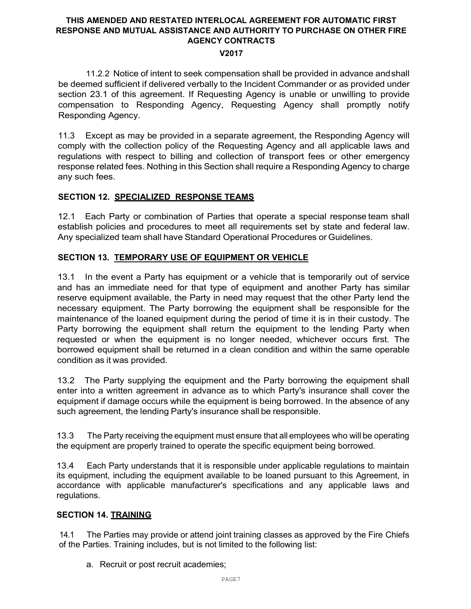#### V2017

11.2.2 Notice of intent to seek compensation shall be provided in advance and shall be deemed sufficient if delivered verbally to the Incident Commander or as provided under section 23.1 of this agreement. If Requesting Agency is unable or unwilling to provide compensation to Responding Agency, Requesting Agency shall promptly notify Responding Agency.

11.3 Except as may be provided in a separate agreement, the Responding Agency will comply with the collection policy of the Requesting Agency and all applicable laws and regulations with respect to billing and collection of transport fees or other emergency response related fees. Nothing in this Section shall require a Responding Agency to charge any such fees.

## SECTION 12. SPECIALIZED RESPONSE TEAMS

12.1 Each Party or combination of Parties that operate a special response team shall establish policies and procedures to meet all requirements set by state and federal law. Any specialized team shall have Standard Operational Procedures or Guidelines.

## SECTION 13. TEMPORARY USE OF EQUIPMENT OR VEHICLE

13.1 In the event a Party has equipment or a vehicle that is temporarily out of service and has an immediate need for that type of equipment and another Party has similar reserve equipment available, the Party in need may request that the other Party lend the necessary equipment. The Party borrowing the equipment shall be responsible for the maintenance of the loaned equipment during the period of time it is in their custody. The Party borrowing the equipment shall return the equipment to the lending Party when requested or when the equipment is no longer needed, whichever occurs first. The borrowed equipment shall be returned in a clean condition and within the same operable condition as it was provided.

13.2 The Party supplying the equipment and the Party borrowing the equipment shall enter into a written agreement in advance as to which Party's insurance shall cover the equipment if damage occurs while the equipment is being borrowed. In the absence of any such agreement, the lending Party's insurance shall be responsible.

13.3 The Party receiving the equipment must ensure that all employees who will be operating the equipment are properly trained to operate the specific equipment being borrowed.

13.4 Each Party understands that it is responsible under applicable regulations to maintain its equipment, including the equipment available to be loaned pursuant to this Agreement, in accordance with applicable manufacturer's specifications and any applicable laws and regulations.

## SECTION 14. TRAINING

14.1 The Parties may provide or attend joint training classes as approved by the Fire Chiefs of the Parties. Training includes, but is not limited to the following list:

a. Recruit or post recruit academies;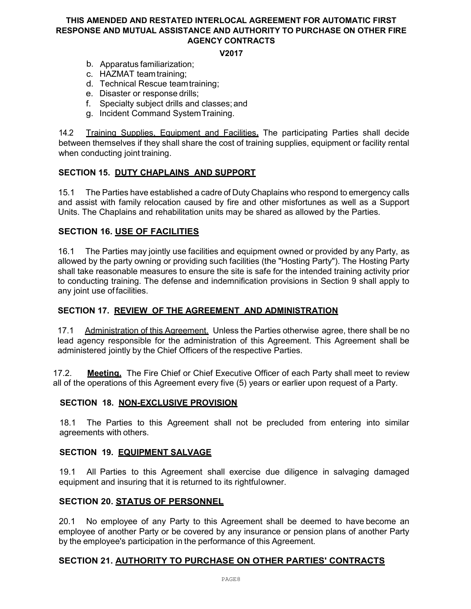#### V2017

- b. Apparatus familiarization;
- c. HAZMAT team training;
- d. Technical Rescue team training;
- e. Disaster or response drills;
- f. Specialty subject drills and classes; and
- g. Incident Command System Training.

14.2 Training Supplies, Equipment and Facilities. The participating Parties shall decide between themselves if they shall share the cost of training supplies, equipment or facility rental when conducting joint training.

## SECTION 15. DUTY CHAPLAINS AND SUPPORT

15.1 The Parties have established a cadre of Duty Chaplains who respond to emergency calls and assist with family relocation caused by fire and other misfortunes as well as a Support Units. The Chaplains and rehabilitation units may be shared as allowed by the Parties.

## SECTION 16. USE OF FACILITIES

16.1 The Parties may jointly use facilities and equipment owned or provided by any Party, as allowed by the party owning or providing such facilities (the "Hosting Party"). The Hosting Party shall take reasonable measures to ensure the site is safe for the intended training activity prior to conducting training. The defense and indemnification provisions in Section 9 shall apply to any joint use of facilities.

## SECTION 17. REVIEW OF THE AGREEMENT AND ADMINISTRATION

17.1 Administration of this Agreement. Unless the Parties otherwise agree, there shall be no lead agency responsible for the administration of this Agreement. This Agreement shall be administered jointly by the Chief Officers of the respective Parties.

17.2. Meeting. The Fire Chief or Chief Executive Officer of each Party shall meet to review all of the operations of this Agreement every five (5) years or earlier upon request of a Party.

#### SECTION 18. NON-EXCLUSIVE PROVISION

18.1 The Parties to this Agreement shall not be precluded from entering into similar agreements with others.

#### SECTION 19. EQUIPMENT SALVAGE

19.1 All Parties to this Agreement shall exercise due diligence in salvaging damaged equipment and insuring that it is returned to its rightful owner.

#### SECTION 20. STATUS OF PERSONNEL

20.1 No employee of any Party to this Agreement shall be deemed to have become an employee of another Party or be covered by any insurance or pension plans of another Party by the employee's participation in the performance of this Agreement.

## SECTION 21. AUTHORITY TO PURCHASE ON OTHER PARTIES' CONTRACTS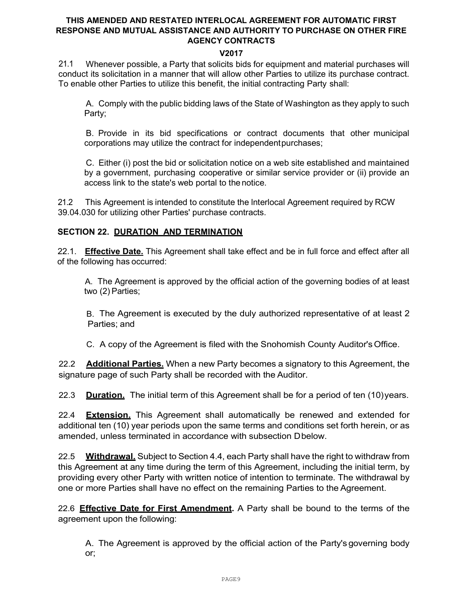## V2017

21.1 Whenever possible, a Party that solicits bids for equipment and material purchases will conduct its solicitation in a manner that will allow other Parties to utilize its purchase contract. To enable other Parties to utilize this benefit, the initial contracting Party shall:

A. Comply with the public bidding laws of the State of Washington as they apply to such Party;

B. Provide in its bid specifications or contract documents that other municipal corporations may utilize the contract for independent purchases;

C. Either (i) post the bid or solicitation notice on a web site established and maintained by a government, purchasing cooperative or similar service provider or (ii) provide an access link to the state's web portal to the notice.

21.2 This Agreement is intended to constitute the lnterlocal Agreement required by RCW 39.04.030 for utilizing other Parties' purchase contracts.

## SECTION 22. DURATION AND TERMINATION

22.1. **Effective Date.** This Agreement shall take effect and be in full force and effect after all of the following has occurred:

A. The Agreement is approved by the official action of the governing bodies of at least two (2) Parties;

B. The Agreement is executed by the duly authorized representative of at least 2 Parties; and

C. A copy of the Agreement is filed with the Snohomish County Auditor's Office.

22.2 **Additional Parties.** When a new Party becomes a signatory to this Agreement, the signature page of such Party shall be recorded with the Auditor.

22.3 **Duration.** The initial term of this Agreement shall be for a period of ten (10) years.

22.4 **Extension.** This Agreement shall automatically be renewed and extended for additional ten (10) year periods upon the same terms and conditions set forth herein, or as amended, unless terminated in accordance with subsection D below.

22.5 Withdrawal. Subject to Section 4.4, each Party shall have the right to withdraw from this Agreement at any time during the term of this Agreement, including the initial term, by providing every other Party with written notice of intention to terminate. The withdrawal by one or more Parties shall have no effect on the remaining Parties to the Agreement.

22.6 **Effective Date for First Amendment.** A Party shall be bound to the terms of the agreement upon the following:

A. The Agreement is approved by the official action of the Party's governing body or;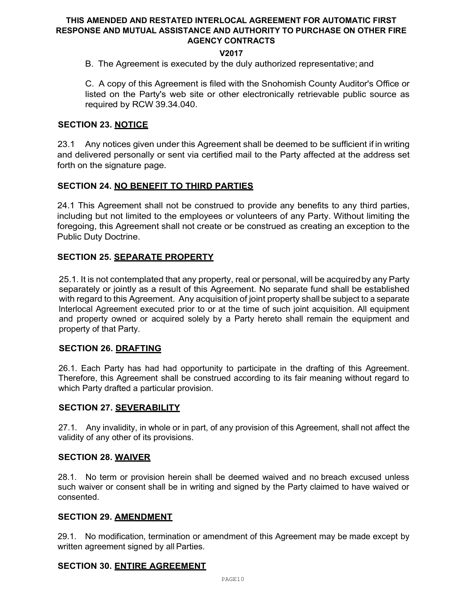## V2017

B. The Agreement is executed by the duly authorized representative; and

C. A copy of this Agreement is filed with the Snohomish County Auditor's Office or listed on the Party's web site or other electronically retrievable public source as required by RCW 39.34.040.

## SECTION 23. NOTICE

23.1 Any notices given under this Agreement shall be deemed to be sufficient if in writing and delivered personally or sent via certified mail to the Party affected at the address set forth on the signature page.

## SECTION 24. NO BENEFIT TO THIRD PARTIES

24.1 This Agreement shall not be construed to provide any benefits to any third parties, including but not limited to the employees or volunteers of any Party. Without limiting the foregoing, this Agreement shall not create or be construed as creating an exception to the Public Duty Doctrine.

## SECTION 25. SEPARATE PROPERTY

25.1. It is not contemplated that any property, real or personal, will be acquired by any Party separately or jointly as a result of this Agreement. No separate fund shall be established with regard to this Agreement. Any acquisition of joint property shall be subject to a separate lnterlocal Agreement executed prior to or at the time of such joint acquisition. All equipment and property owned or acquired solely by a Party hereto shall remain the equipment and property of that Party.

#### SECTION 26. DRAFTING

26.1. Each Party has had had opportunity to participate in the drafting of this Agreement. Therefore, this Agreement shall be construed according to its fair meaning without regard to which Party drafted a particular provision.

#### SECTION 27. SEVERABILITY

27.1. Any invalidity, in whole or in part, of any provision of this Agreement, shall not affect the validity of any other of its provisions.

#### SECTION 28. WAIVER

28.1. No term or provision herein shall be deemed waived and no breach excused unless such waiver or consent shall be in writing and signed by the Party claimed to have waived or consented.

#### SECTION 29. AMENDMENT

29.1. No modification, termination or amendment of this Agreement may be made except by written agreement signed by all Parties.

#### SECTION 30. ENTIRE AGREEMENT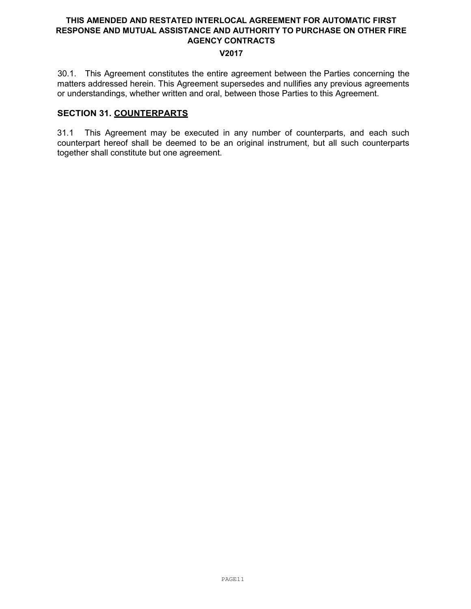#### V2017

30.1. This Agreement constitutes the entire agreement between the Parties concerning the matters addressed herein. This Agreement supersedes and nullifies any previous agreements or understandings, whether written and oral, between those Parties to this Agreement.

## SECTION 31. COUNTERPARTS

31.1 This Agreement may be executed in any number of counterparts, and each such counterpart hereof shall be deemed to be an original instrument, but all such counterparts together shall constitute but one agreement.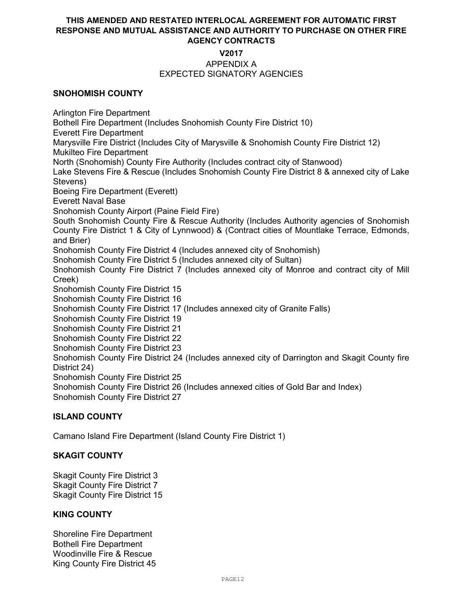# V2017

#### APPENDIX A EXPECTED SIGNATORY AGENCIES

## SNOHOMISH COUNTY

Arlington Fire Department Bothell Fire Department (Includes Snohomish County Fire District 10) Everett Fire Department Marysville Fire District (Includes City of Marysville & Snohomish County Fire District 12) Mukilteo Fire Department North (Snohomish) County Fire Authority (Includes contract city of Stanwood) Lake Stevens Fire & Rescue (Includes Snohomish County Fire District 8 & annexed city of Lake Stevens) Boeing Fire Department (Everett) Everett Naval Base Snohomish County Airport (Paine Field Fire) South Snohomish County Fire & Rescue Authority (Includes Authority agencies of Snohomish County Fire District 1 & City of Lynnwood) & (Contract cities of Mountlake Terrace, Edmonds, and Brier) Snohomish County Fire District 4 (Includes annexed city of Snohomish) Snohomish County Fire District 5 (Includes annexed city of Sultan) Snohomish County Fire District 7 (Includes annexed city of Monroe and contract city of Mill Creek) Snohomish County Fire District 15 Snohomish County Fire District 16 Snohomish County Fire District 17 (Includes annexed city of Granite Falls) Snohomish County Fire District 19 Snohomish County Fire District 21 Snohomish County Fire District 22 Snohomish County Fire District 23 Snohomish County Fire District 24 (Includes annexed city of Darrington and Skagit County fire District 24) Snohomish County Fire District 25 Snohomish County Fire District 26 (Includes annexed cities of Gold Bar and Index) Snohomish County Fire District 27

## ISLAND COUNTY

Camano Island Fire Department (Island County Fire District 1)

## SKAGIT COUNTY

Skagit County Fire District 3 Skagit County Fire District 7 Skagit County Fire District 15

## KING COUNTY

Shoreline Fire Department Bothell Fire Department Woodinville Fire & Rescue King County Fire District 45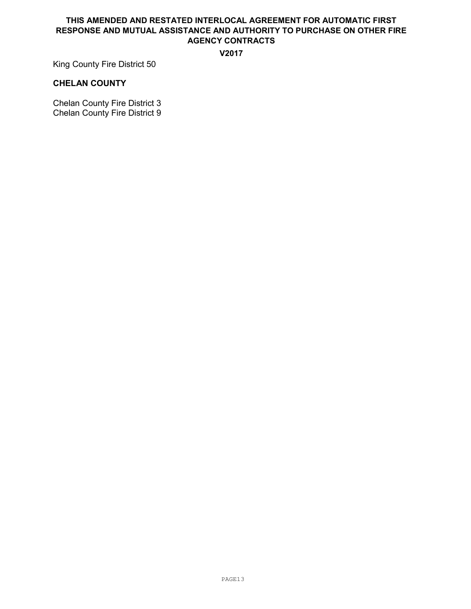#### V2017

King County Fire District 50

#### CHELAN COUNTY

Chelan County Fire District 3 Chelan County Fire District 9